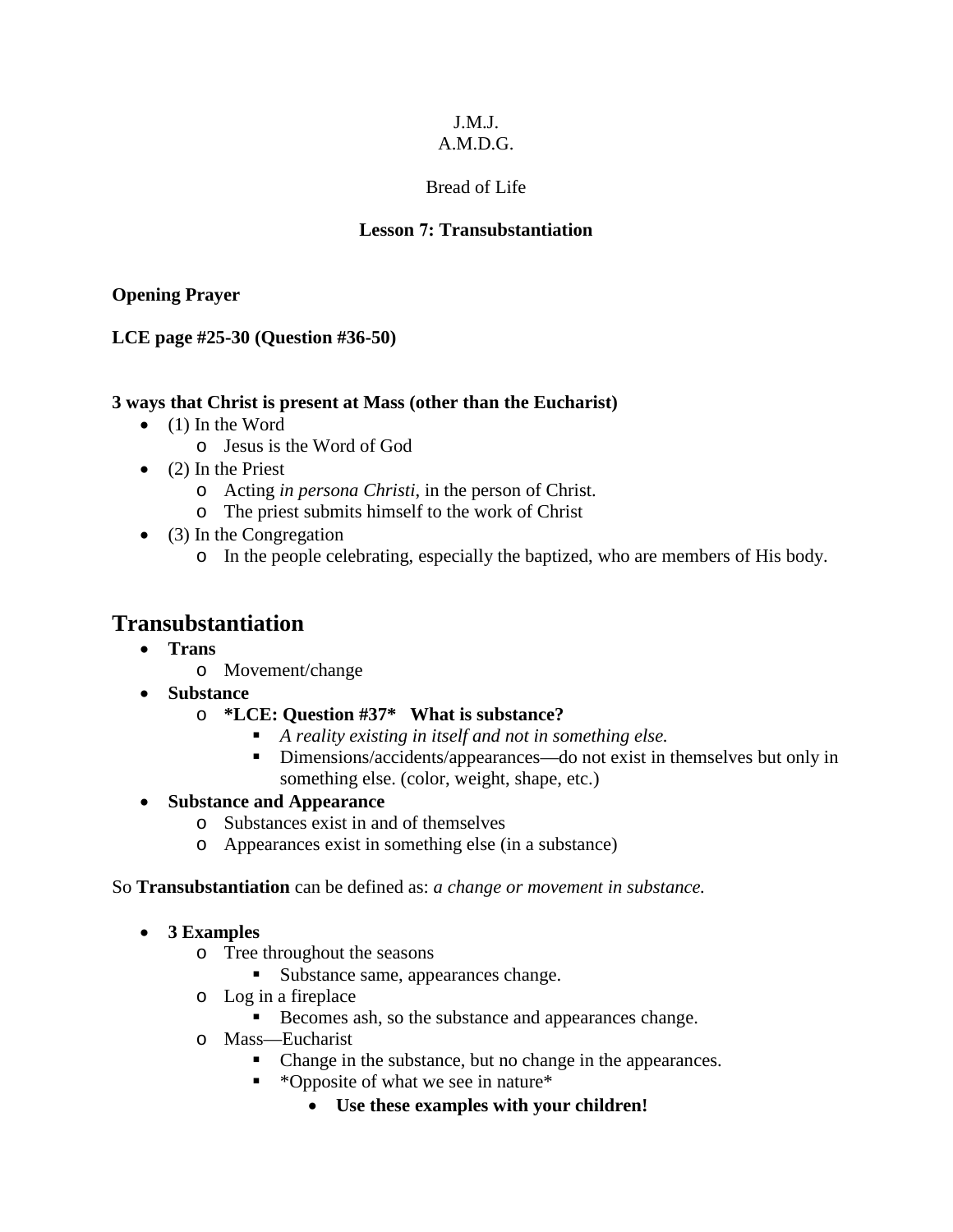# J.M.J.

# A.M.D.G.

# Bread of Life

# **Lesson 7: Transubstantiation**

## **Opening Prayer**

## **LCE page #25-30 (Question #36-50)**

### **3 ways that Christ is present at Mass (other than the Eucharist)**

- (1) In the Word
	- o Jesus is the Word of God
- $\bullet$  (2) In the Priest
	- o Acting *in persona Christi*, in the person of Christ.
	- o The priest submits himself to the work of Christ
- (3) In the Congregation
	- o In the people celebrating, especially the baptized, who are members of His body.

# **Transubstantiation**

- **Trans**
	- o Movement/change
- **Substance**

### o **\*LCE: Question #37\* What is substance?**

- *A reality existing in itself and not in something else.*
- Dimensions/accidents/appearances—do not exist in themselves but only in something else. (color, weight, shape, etc.)

### • **Substance and Appearance**

- o Substances exist in and of themselves
- o Appearances exist in something else (in a substance)

### So **Transubstantiation** can be defined as: *a change or movement in substance.*

### • **3 Examples**

- o Tree throughout the seasons
	- Substance same, appearances change.
- o Log in a fireplace
	- Becomes ash, so the substance and appearances change.
- o Mass—Eucharist
	- Change in the substance, but no change in the appearances.
	- \*Opposite of what we see in nature\*
		- **Use these examples with your children!**